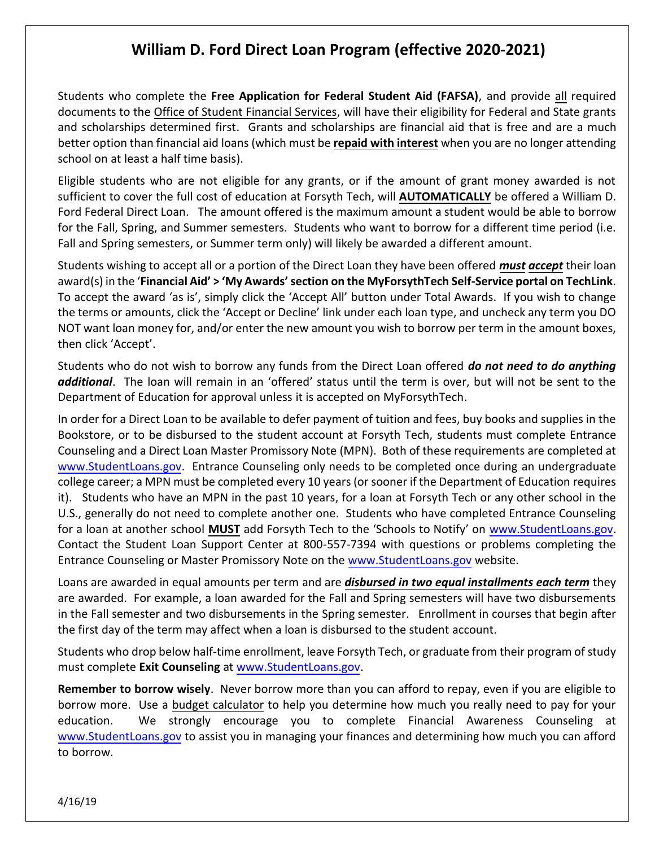## **William D. Ford Direct Loan Program (effective 2020-2021)**

Students who complete the **Free Application for Federal Student Aid (FAFSA)**, and provide all required documents to the Office of Student Financial Services, will have their eligibility for Federal and State grants and scholarships determined first. Grants and scholarships are financial aid that is free and are a much better option than financial aid loans (which must be **repaid with interest** when you are no longer attending school on at least a half time basis).

Eligible students who are not eligible for any grants, or if the amount of grant money awarded is not sufficient to cover the full cost of education at Forsyth Tech, will **AUTOMATICALLY** be offered a William D. Ford Federal Direct Loan. The amount offered is the maximum amount a student would be able to borrow for the Fall, Spring, and Summer semesters. Students who want to borrow for a different time period (i.e. Fall and Spring semesters, or Summer term only) will likely be awarded a different amount.

Students wishing to accept all or a portion of the Direct Loan they have been offered *must accept* their loan award(s) in the '**Financial Aid' > 'My Awards' section on the MyForsythTech Self-Service portal on TechLink**. To accept the award 'as is', simply click the 'Accept All' button under Total Awards. If you wish to change the terms or amounts, click the 'Accept or Decline' link under each loan type, and uncheck any term you DO NOT want loan money for, and/or enter the new amount you wish to borrow per term in the amount boxes, then click 'Accept'.

Students who do not wish to borrow any funds from the Direct Loan offered *do not need to do anything additional*. The loan will remain in an 'offered' status until the term is over, but will not be sent to the Department of Education for approval unless it is accepted on MyForsythTech.

In order for a Direct Loan to be available to defer payment of tuition and fees, buy books and supplies in the Bookstore, or to be disbursed to the student account at Forsyth Tech, students must complete Entrance Counseling and a Direct Loan Master Promissory Note (MPN). Both of these requirements are completed at [www.StudentLoans.gov.](http://www.studentloans.gov/) Entrance Counseling only needs to be completed once during an undergraduate college career; a MPN must be completed every 10 years (or sooner if the Department of Education requires it). Students who have an MPN in the past 10 years, for a loan at Forsyth Tech or any other school in the U.S., generally do not need to complete another one. Students who have completed Entrance Counseling for a loan at another school **MUST** add Forsyth Tech to the 'Schools to Notify' on [www.StudentLoans.gov.](http://www.studentloans.gov/) Contact the Student Loan Support Center at 800-557-7394 with questions or problems completing the Entrance Counseling or Master Promissory Note on the [www.StudentLoans.gov](http://www.studentloans.gov/) website.

Loans are awarded in equal amounts per term and are *disbursed in two equal installments each term* they are awarded. For example, a loan awarded for the Fall and Spring semesters will have two disbursements in the Fall semester and two disbursements in the Spring semester. Enrollment in courses that begin after the first day of the term may affect when a loan is disbursed to the student account.

Students who drop below half-time enrollment, leave Forsyth Tech, or graduate from their program of study must complete **Exit Counseling** at [www.StudentLoans.gov.](file:///C:/Documents%20and%20Settings/vlenderman/Local%20Settings/Temporary%20Internet%20Files/Content.Outlook/2O0HQYFQ/www.StudentLoans.gov)

**Remember to borrow wisely**. Never borrow more than you can afford to repay, even if you are eligible to borrow more. Use a budget calculator to help you determine how much you really need to pay for your education. We strongly encourage you to complete Financial Awareness Counseling at [www.StudentLoans.gov](http://www.studentloans.gov/) to assist you in managing your finances and determining how much you can afford to borrow.